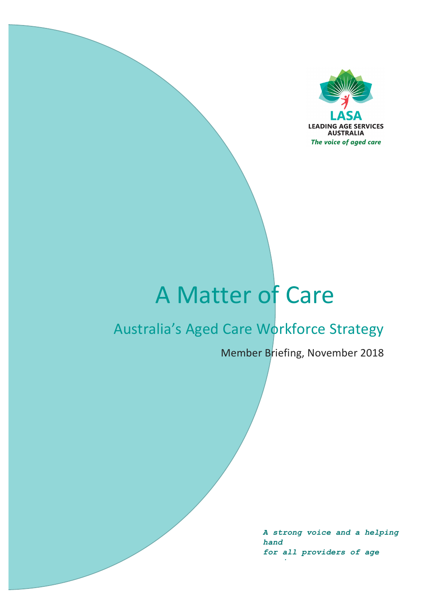

# A Matter of Care

# Australia's Aged Care Workforce Strategy

Member Briefing, November 2018

A strong voice and a helping hand for all providers of age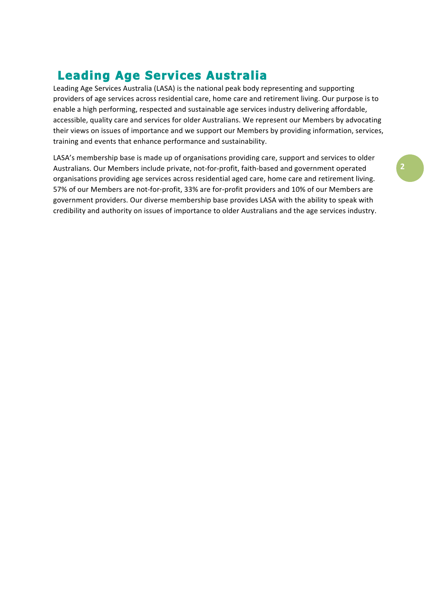# **Leading Age Services Australia**

Leading Age Services Australia (LASA) is the national peak body representing and supporting providers of age services across residential care, home care and retirement living. Our purpose is to enable a high performing, respected and sustainable age services industry delivering affordable, accessible, quality care and services for older Australians. We represent our Members by advocating their views on issues of importance and we support our Members by providing information, services, training and events that enhance performance and sustainability.

LASA's membership base is made up of organisations providing care, support and services to older Australians. Our Members include private, not-for-profit, faith-based and government operated organisations providing age services across residential aged care, home care and retirement living. 57% of our Members are not-for-profit, 33% are for-profit providers and 10% of our Members are government providers. Our diverse membership base provides LASA with the ability to speak with credibility and authority on issues of importance to older Australians and the age services industry.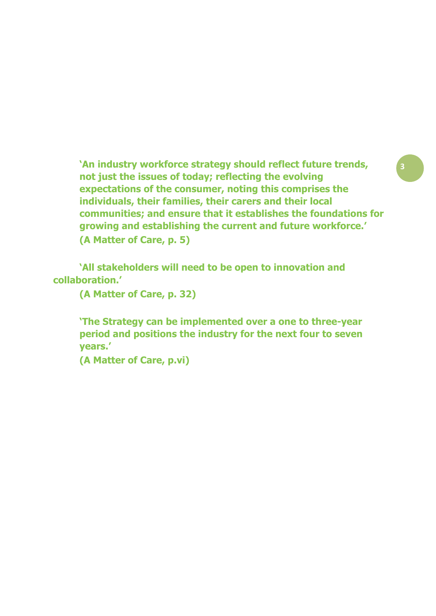**'An industry workforce strategy should reflect future trends, " not just the issues of today; reflecting the evolving expectations of the consumer, noting this comprises the individuals, their families, their carers and their local communities; and ensure that it establishes the foundations for growing and establishing the current and future workforce.' (A Matter of Care, p. 5)**

**'All stakeholders will need to be open to innovation and collaboration.'**

**(A Matter of Care, p. 32)**

**'The Strategy can be implemented over a one to three-year period and positions the industry for the next four to seven years.'**

**(A Matter of Care, p.vi)**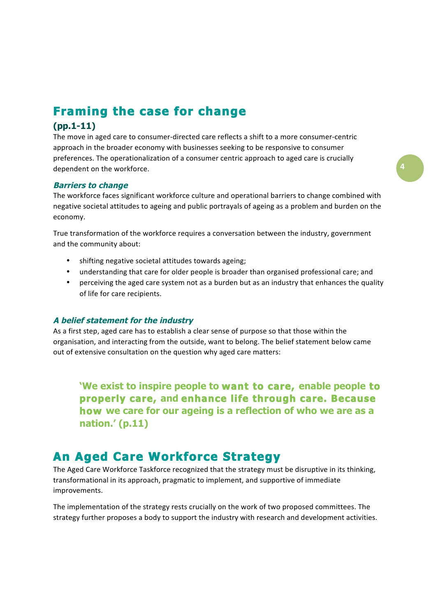# **Framing the case for change**

### $(pp.1-11)$

The move in aged care to consumer-directed care reflects a shift to a more consumer-centric approach in the broader economy with businesses seeking to be responsive to consumer preferences. The operationalization of a consumer centric approach to aged care is crucially dependent on the workforce.

#### **Barriers to change**

The workforce faces significant workforce culture and operational barriers to change combined with negative societal attitudes to ageing and public portrayals of ageing as a problem and burden on the economy.

True transformation of the workforce requires a conversation between the industry, government and the community about:

- shifting negative societal attitudes towards ageing;
- understanding that care for older people is broader than organised professional care; and
- $\bullet$ perceiving the aged care system not as a burden but as an industry that enhances the quality of life for care recipients.

#### A belief statement for the industry

As a first step, aged care has to establish a clear sense of purpose so that those within the organisation, and interacting from the outside, want to belong. The belief statement below came out of extensive consultation on the question why aged care matters:

'We exist to inspire people to want to care, enable people to properly care, and enhance life through care. Because how we care for our ageing is a reflection of who we are as a nation.' (p.11)

# **An Aged Care Workforce Strategy**

The Aged Care Workforce Taskforce recognized that the strategy must be disruptive in its thinking, transformational in its approach, pragmatic to implement, and supportive of immediate improvements.

The implementation of the strategy rests crucially on the work of two proposed committees. The strategy further proposes a body to support the industry with research and development activities.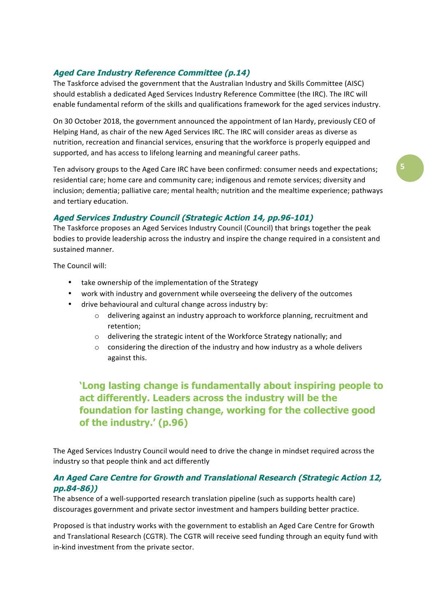### **Aged Care Industry Reference Committee (p.14)**

The Taskforce advised the government that the Australian Industry and Skills Committee (AISC) should establish a dedicated Aged Services Industry Reference Committee (the IRC). The IRC will enable fundamental reform of the skills and qualifications framework for the aged services industry.

On 30 October 2018, the government announced the appointment of Ian Hardy, previously CEO of Helping Hand, as chair of the new Aged Services IRC. The IRC will consider areas as diverse as nutrition, recreation and financial services, ensuring that the workforce is properly equipped and supported, and has access to lifelong learning and meaningful career paths.

Ten advisory groups to the Aged Care IRC have been confirmed: consumer needs and expectations; residential care; home care and community care; indigenous and remote services; diversity and inclusion; dementia; palliative care; mental health; nutrition and the mealtime experience; pathways and tertiary education.

### **Aged Services Industry Council (Strategic Action 14, pp.96-101)**

The Taskforce proposes an Aged Services Industry Council (Council) that brings together the peak bodies to provide leadership across the industry and inspire the change required in a consistent and sustained manner.

The Council will:

- take ownership of the implementation of the Strategy
- work with industry and government while overseeing the delivery of the outcomes  $\bullet$
- drive behavioural and cultural change across industry by:
	- $\circ$  delivering against an industry approach to workforce planning, recruitment and retention:
	- $\circ$  delivering the strategic intent of the Workforce Strategy nationally; and
	- $\circ$  considering the direction of the industry and how industry as a whole delivers against this.

# 'Long lasting change is fundamentally about inspiring people to act differently. Leaders across the industry will be the foundation for lasting change, working for the collective good of the industry.' (p.96)

The Aged Services Industry Council would need to drive the change in mindset required across the industry so that people think and act differently

### An Aged Care Centre for Growth and Translational Research (Strategic Action 12, pp.84-86))

The absence of a well-supported research translation pipeline (such as supports health care) discourages government and private sector investment and hampers building better practice.

Proposed is that industry works with the government to establish an Aged Care Centre for Growth and Translational Research (CGTR). The CGTR will receive seed funding through an equity fund with in-kind investment from the private sector.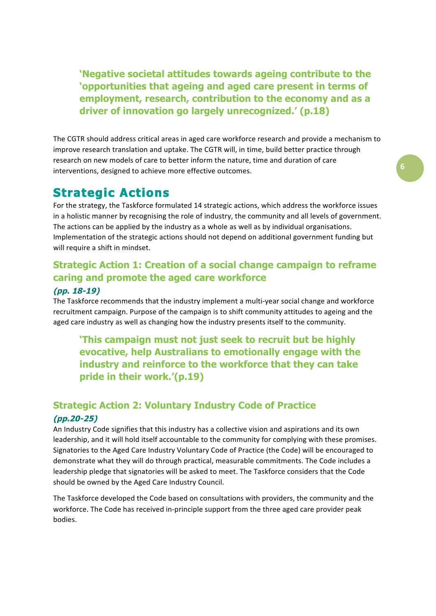'Negative societal attitudes towards ageing contribute to the 'opportunities that ageing and aged care present in terms of employment, research, contribution to the economy and as a driver of innovation go largely unrecognized.' (p.18)

The CGTR should address critical areas in aged care workforce research and provide a mechanism to improve research translation and uptake. The CGTR will, in time, build better practice through research on new models of care to better inform the nature, time and duration of care interventions, designed to achieve more effective outcomes.

# **Strategic Actions**

For the strategy, the Taskforce formulated 14 strategic actions, which address the workforce issues in a holistic manner by recognising the role of industry, the community and all levels of government. The actions can be applied by the industry as a whole as well as by individual organisations. Implementation of the strategic actions should not depend on additional government funding but will require a shift in mindset.

# **Strategic Action 1: Creation of a social change campaign to reframe** caring and promote the aged care workforce

### $(pD. 18-19)$

The Taskforce recommends that the industry implement a multi-year social change and workforce recruitment campaign. Purpose of the campaign is to shift community attitudes to ageing and the aged care industry as well as changing how the industry presents itself to the community.

'This campaign must not just seek to recruit but be highly evocative, help Australians to emotionally engage with the industry and reinforce to the workforce that they can take pride in their work.'(p.19)

# **Strategic Action 2: Voluntary Industry Code of Practice**  $(pp.20-25)$

An Industry Code signifies that this industry has a collective vision and aspirations and its own leadership, and it will hold itself accountable to the community for complying with these promises. Signatories to the Aged Care Industry Voluntary Code of Practice (the Code) will be encouraged to demonstrate what they will do through practical, measurable commitments. The Code includes a leadership pledge that signatories will be asked to meet. The Taskforce considers that the Code should be owned by the Aged Care Industry Council.

The Taskforce developed the Code based on consultations with providers, the community and the workforce. The Code has received in-principle support from the three aged care provider peak bodies.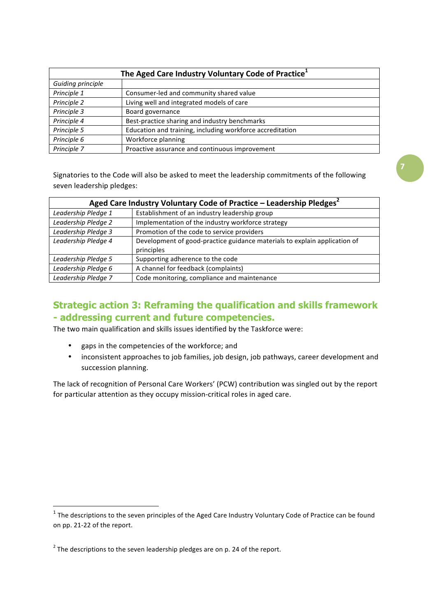| The Aged Care Industry Voluntary Code of Practice <sup>1</sup> |                                                           |  |  |  |
|----------------------------------------------------------------|-----------------------------------------------------------|--|--|--|
| Guiding principle                                              |                                                           |  |  |  |
| Principle 1                                                    | Consumer-led and community shared value                   |  |  |  |
| Principle 2                                                    | Living well and integrated models of care                 |  |  |  |
| Principle 3                                                    | Board governance                                          |  |  |  |
| Principle 4                                                    | Best-practice sharing and industry benchmarks             |  |  |  |
| Principle 5                                                    | Education and training, including workforce accreditation |  |  |  |
| Principle 6                                                    | Workforce planning                                        |  |  |  |
| Principle 7                                                    | Proactive assurance and continuous improvement            |  |  |  |

Signatories to the Code will also be asked to meet the leadership commitments of the following seven leadership pledges:

| Aged Care Industry Voluntary Code of Practice - Leadership Pledges <sup>2</sup> |                                                                           |  |  |  |
|---------------------------------------------------------------------------------|---------------------------------------------------------------------------|--|--|--|
| Leadership Pledge 1                                                             | Establishment of an industry leadership group                             |  |  |  |
| Leadership Pledge 2                                                             | Implementation of the industry workforce strategy                         |  |  |  |
| Leadership Pledge 3                                                             | Promotion of the code to service providers                                |  |  |  |
| Leadership Pledge 4                                                             | Development of good-practice guidance materials to explain application of |  |  |  |
|                                                                                 | principles                                                                |  |  |  |
| Leadership Pledge 5                                                             | Supporting adherence to the code                                          |  |  |  |
| Leadership Pledge 6                                                             | A channel for feedback (complaints)                                       |  |  |  |
| Leadership Pledge 7                                                             | Code monitoring, compliance and maintenance                               |  |  |  |

### **Strategic action 3: Reframing the qualification and skills framework** - addressing current and future competencies.

The two main qualification and skills issues identified by the Taskforce were:

- $\bullet$ gaps in the competencies of the workforce; and
- inconsistent approaches to job families, job design, job pathways, career development and  $\bullet$ succession planning.

The lack of recognition of Personal Care Workers' (PCW) contribution was singled out by the report for particular attention as they occupy mission-critical roles in aged care.

 $1$  The descriptions to the seven principles of the Aged Care Industry Voluntary Code of Practice can be found on pp. 21-22 of the report.

 $2$  The descriptions to the seven leadership pledges are on p. 24 of the report.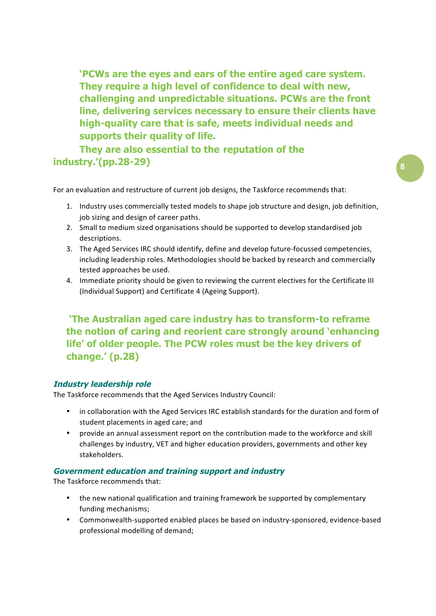'PCWs are the eyes and ears of the entire aged care system. They require a high level of confidence to deal with new, challenging and unpredictable situations. PCWs are the front line, delivering services necessary to ensure their clients have high-quality care that is safe, meets individual needs and supports their quality of life.

They are also essential to the reputation of the industry.'(pp.28-29)

For an evaluation and restructure of current job designs, the Taskforce recommends that:

- 1. Industry uses commercially tested models to shape job structure and design, job definition, job sizing and design of career paths.
- 2. Small to medium sized organisations should be supported to develop standardised job descriptions.
- 3. The Aged Services IRC should identify, define and develop future-focussed competencies, including leadership roles. Methodologies should be backed by research and commercially tested approaches be used.
- 4. Immediate priority should be given to reviewing the current electives for the Certificate III (Individual Support) and Certificate 4 (Ageing Support).

'The Australian aged care industry has to transform-to reframe the notion of caring and reorient care strongly around 'enhancing life' of older people. The PCW roles must be the key drivers of change.' (p.28)

### **Industry leadership role**

The Taskforce recommends that the Aged Services Industry Council:

- in collaboration with the Aged Services IRC establish standards for the duration and form of  $\bullet$ student placements in aged care: and
- provide an annual assessment report on the contribution made to the workforce and skill challenges by industry, VET and higher education providers, governments and other key stakeholders.

#### **Government education and training support and industry**

The Taskforce recommends that:

- the new national qualification and training framework be supported by complementary funding mechanisms;
- Commonwealth-supported enabled places be based on industry-sponsored, evidence-based professional modelling of demand;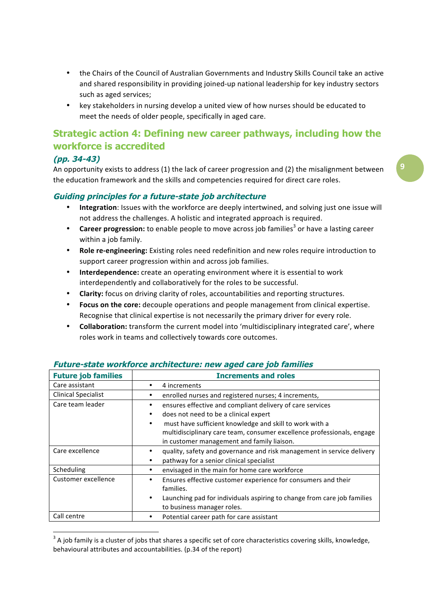- the Chairs of the Council of Australian Governments and Industry Skills Council take an active and shared responsibility in providing joined-up national leadership for key industry sectors such as aged services;
- key stakeholders in nursing develop a united view of how nurses should be educated to meet the needs of older people, specifically in aged care.

# Strategic action 4: Defining new career pathways, including how the workforce is accredited

### $(DD. 34-43)$

An opportunity exists to address (1) the lack of career progression and (2) the misalignment between the education framework and the skills and competencies required for direct care roles.

### Guiding principles for a future-state job architecture

- Integration: Issues with the workforce are deeply intertwined, and solving just one issue will not address the challenges. A holistic and integrated approach is required.
- **Career progression:** to enable people to move across job families<sup>3</sup> or have a lasting career  $\bullet$ within a job family.
- $\bullet$ Role re-engineering: Existing roles need redefinition and new roles require introduction to support career progression within and across job families.
- $\bullet$ Interdependence: create an operating environment where it is essential to work interdependently and collaboratively for the roles to be successful.
- **Clarity:** focus on driving clarity of roles, accountabilities and reporting structures.
- Focus on the core: decouple operations and people management from clinical expertise. Recognise that clinical expertise is not necessarily the primary driver for every role.
- Collaboration: transform the current model into 'multidisciplinary integrated care', where roles work in teams and collectively towards core outcomes.

| <b>Future job families</b> | <b>Increments and roles</b>                                             |  |
|----------------------------|-------------------------------------------------------------------------|--|
| Care assistant             | 4 increments                                                            |  |
| <b>Clinical Specialist</b> | enrolled nurses and registered nurses; 4 increments,                    |  |
| Care team leader           | ensures effective and compliant delivery of care services               |  |
|                            | does not need to be a clinical expert                                   |  |
|                            | must have sufficient knowledge and skill to work with a<br>$\bullet$    |  |
|                            | multidisciplinary care team, consumer excellence professionals, engage  |  |
|                            | in customer management and family liaison.                              |  |
| Care excellence            | quality, safety and governance and risk management in service delivery  |  |
|                            | pathway for a senior clinical specialist                                |  |
| Scheduling                 | envisaged in the main for home care workforce                           |  |
| Customer excellence        | Ensures effective customer experience for consumers and their<br>٠      |  |
|                            | families.                                                               |  |
|                            | Launching pad for individuals aspiring to change from care job families |  |
|                            | to business manager roles.                                              |  |
| Call centre                | Potential career path for care assistant                                |  |

#### Future-state workforce architecture: new aged care job families

 $3$  A job family is a cluster of jobs that shares a specific set of core characteristics covering skills, knowledge, behavioural attributes and accountabilities. (p.34 of the report)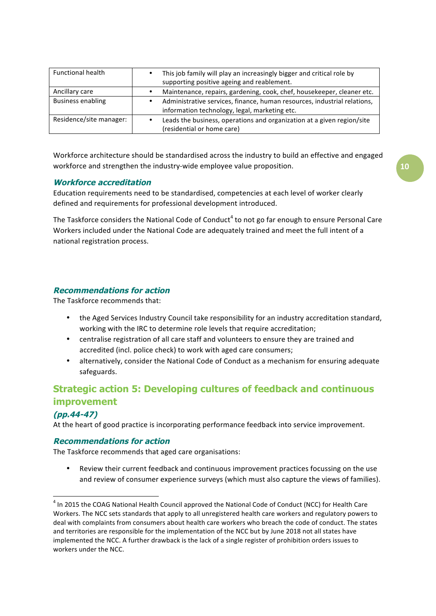| <b>Functional health</b> | This job family will play an increasingly bigger and critical role by<br>supporting positive ageing and reablement.       |  |
|--------------------------|---------------------------------------------------------------------------------------------------------------------------|--|
| Ancillary care           | Maintenance, repairs, gardening, cook, chef, housekeeper, cleaner etc.                                                    |  |
| <b>Business enabling</b> | Administrative services, finance, human resources, industrial relations,<br>information technology, legal, marketing etc. |  |
| Residence/site manager:  | Leads the business, operations and organization at a given region/site<br>(residential or home care)                      |  |

Workforce architecture should be standardised across the industry to build an effective and engaged workforce and strengthen the industry-wide employee value proposition.

#### **Workforce accreditation**

Education requirements need to be standardised, competencies at each level of worker clearly defined and requirements for professional development introduced.

The Taskforce considers the National Code of Conduct<sup>4</sup> to not go far enough to ensure Personal Care Workers included under the National Code are adequately trained and meet the full intent of a national registration process.

### **Recommendations for action**

The Taskforce recommends that:

- $\bullet$ the Aged Services Industry Council take responsibility for an industry accreditation standard, working with the IRC to determine role levels that require accreditation;
- $\bullet$ centralise registration of all care staff and volunteers to ensure they are trained and accredited (incl. police check) to work with aged care consumers;
- alternatively, consider the National Code of Conduct as a mechanism for ensuring adequate safeguards.

### **Strategic action 5: Developing cultures of feedback and continuous improvement**

### $(pp.44-47)$

At the heart of good practice is incorporating performance feedback into service improvement.

#### **Recommendations for action**

The Taskforce recommends that aged care organisations:

Review their current feedback and continuous improvement practices focussing on the use and review of consumer experience surveys (which must also capture the views of families).

<sup>&</sup>lt;sup>4</sup> In 2015 the COAG National Health Council approved the National Code of Conduct (NCC) for Health Care Workers. The NCC sets standards that apply to all unregistered health care workers and regulatory powers to deal with complaints from consumers about health care workers who breach the code of conduct. The states and territories are responsible for the implementation of the NCC but by June 2018 not all states have implemented the NCC. A further drawback is the lack of a single register of prohibition orders issues to workers under the NCC.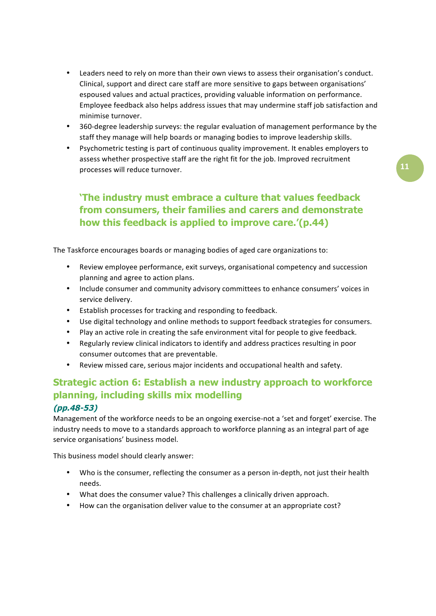- $\bullet$ Leaders need to rely on more than their own views to assess their organisation's conduct. Clinical, support and direct care staff are more sensitive to gaps between organisations' espoused values and actual practices, providing valuable information on performance. Employee feedback also helps address issues that may undermine staff job satisfaction and minimise turnover.
- 360-degree leadership surveys: the regular evaluation of management performance by the  $\bullet$ staff they manage will help boards or managing bodies to improve leadership skills.
- Psychometric testing is part of continuous quality improvement. It enables employers to assess whether prospective staff are the right fit for the job. Improved recruitment processes will reduce turnover.

# 'The industry must embrace a culture that values feedback from consumers, their families and carers and demonstrate how this feedback is applied to improve care.'(p.44)

The Taskforce encourages boards or managing bodies of aged care organizations to:

- $\bullet$ Review employee performance, exit surveys, organisational competency and succession planning and agree to action plans.
- Include consumer and community advisory committees to enhance consumers' voices in service delivery.
- Establish processes for tracking and responding to feedback.
- Use digital technology and online methods to support feedback strategies for consumers.
- Play an active role in creating the safe environment vital for people to give feedback.
- Regularly review clinical indicators to identify and address practices resulting in poor consumer outcomes that are preventable.
- $\bullet$ Review missed care, serious major incidents and occupational health and safety.

# Strategic action 6: Establish a new industry approach to workforce planning, including skills mix modelling

### $(pp.48-53)$

Management of the workforce needs to be an ongoing exercise-not a 'set and forget' exercise. The industry needs to move to a standards approach to workforce planning as an integral part of age service organisations' business model.

This business model should clearly answer:

- Who is the consumer, reflecting the consumer as a person in-depth, not just their health needs.
- What does the consumer value? This challenges a clinically driven approach.
- How can the organisation deliver value to the consumer at an appropriate cost?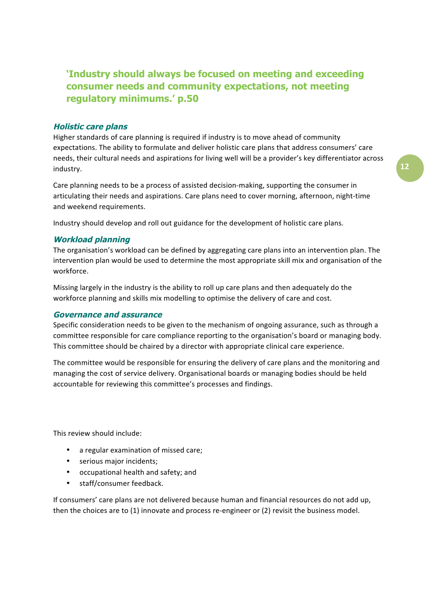# 'Industry should always be focused on meeting and exceeding consumer needs and community expectations, not meeting regulatory minimums.' p.50

#### **Holistic care plans**

Higher standards of care planning is required if industry is to move ahead of community expectations. The ability to formulate and deliver holistic care plans that address consumers' care needs, their cultural needs and aspirations for living well will be a provider's key differentiator across industry.

Care planning needs to be a process of assisted decision-making, supporting the consumer in articulating their needs and aspirations. Care plans need to cover morning, afternoon, night-time and weekend requirements.

Industry should develop and roll out guidance for the development of holistic care plans.

#### **Workload planning**

The organisation's workload can be defined by aggregating care plans into an intervention plan. The intervention plan would be used to determine the most appropriate skill mix and organisation of the workforce.

Missing largely in the industry is the ability to roll up care plans and then adequately do the workforce planning and skills mix modelling to optimise the delivery of care and cost.

#### **Governance and assurance**

Specific consideration needs to be given to the mechanism of ongoing assurance, such as through a committee responsible for care compliance reporting to the organisation's board or managing body. This committee should be chaired by a director with appropriate clinical care experience.

The committee would be responsible for ensuring the delivery of care plans and the monitoring and managing the cost of service delivery. Organisational boards or managing bodies should be held accountable for reviewing this committee's processes and findings.

This review should include:

- a regular examination of missed care;
- serious major incidents;
- $\bullet$  . occupational health and safety; and
- staff/consumer feedback.

If consumers' care plans are not delivered because human and financial resources do not add up, then the choices are to (1) innovate and process re-engineer or (2) revisit the business model.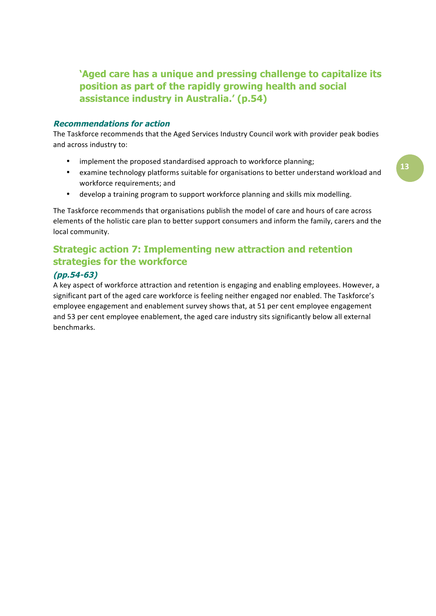'Aged care has a unique and pressing challenge to capitalize its position as part of the rapidly growing health and social assistance industry in Australia.' (p.54)

#### **Recommendations for action**

The Taskforce recommends that the Aged Services Industry Council work with provider peak bodies and across industry to:

- $\bullet$ implement the proposed standardised approach to workforce planning;
- examine technology platforms suitable for organisations to better understand workload and  $\bullet$ workforce requirements; and
- develop a training program to support workforce planning and skills mix modelling.  $\bullet$

The Taskforce recommends that organisations publish the model of care and hours of care across elements of the holistic care plan to better support consumers and inform the family, carers and the local community.

# **Strategic action 7: Implementing new attraction and retention** strategies for the workforce

### $(pp.54-63)$

A key aspect of workforce attraction and retention is engaging and enabling employees. However, a significant part of the aged care workforce is feeling neither engaged nor enabled. The Taskforce's employee engagement and enablement survey shows that, at 51 per cent employee engagement and 53 per cent employee enablement, the aged care industry sits significantly below all external benchmarks.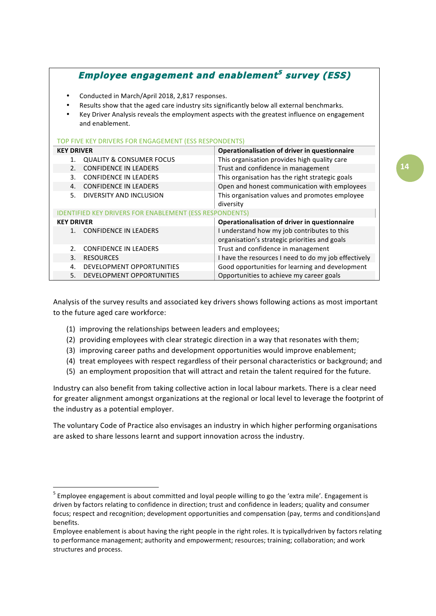# **Employee engagement and enablement<sup>5</sup> survey (ESS)**

- Conducted in March/April 2018, 2,817 responses.
- Results show that the aged care industry sits significantly below all external benchmarks.
- Key Driver Analysis reveals the employment aspects with the greatest influence on engagement and enablement.

#### TOP FIVE KEY DRIVERS FOR ENGAGEMENT (ESS RESPONDENTS)

| <b>KEY DRIVER</b>                                              |                                     | Operationalisation of driver in questionnaire        |  |  |
|----------------------------------------------------------------|-------------------------------------|------------------------------------------------------|--|--|
|                                                                | <b>QUALITY &amp; CONSUMER FOCUS</b> | This organisation provides high quality care         |  |  |
| 2.                                                             | <b>CONFIDENCE IN LEADERS</b>        | Trust and confidence in management                   |  |  |
|                                                                | <b>CONFIDENCE IN LEADERS</b>        | This organisation has the right strategic goals      |  |  |
| $\mathbf{4}$ .                                                 | <b>CONFIDENCE IN LEADERS</b>        | Open and honest communication with employees         |  |  |
| 5.                                                             | DIVERSITY AND INCLUSION             | This organisation values and promotes employee       |  |  |
|                                                                |                                     | diversity                                            |  |  |
| <b>IDENTIFIED KEY DRIVERS FOR ENABLEMENT (ESS RESPONDENTS)</b> |                                     |                                                      |  |  |
| <b>KEY DRIVER</b>                                              |                                     | Operationalisation of driver in questionnaire        |  |  |
|                                                                | <b>CONFIDENCE IN LEADERS</b>        | I understand how my job contributes to this          |  |  |
|                                                                |                                     | organisation's strategic priorities and goals        |  |  |
| $\mathcal{P}$                                                  | <b>CONFIDENCE IN LEADERS</b>        | Trust and confidence in management                   |  |  |
| 3.                                                             | <b>RESOURCES</b>                    | I have the resources I need to do my job effectively |  |  |
| $\mathbf{4}$ .                                                 | DEVELOPMENT OPPORTUNITIES           | Good opportunities for learning and development      |  |  |
| 5.                                                             | DEVELOPMENT OPPORTUNITIES           | Opportunities to achieve my career goals             |  |  |

Analysis of the survey results and associated key drivers shows following actions as most important to the future aged care workforce:

- (1) improving the relationships between leaders and employees;
- (2) providing employees with clear strategic direction in a way that resonates with them;
- (3) improving career paths and development opportunities would improve enablement;
- (4) treat employees with respect regardless of their personal characteristics or background; and
- (5) an employment proposition that will attract and retain the talent required for the future.

Industry can also benefit from taking collective action in local labour markets. There is a clear need for greater alignment amongst organizations at the regional or local level to leverage the footprint of the industry as a potential employer.

The voluntary Code of Practice also envisages an industry in which higher performing organisations are asked to share lessons learnt and support innovation across the industry.

<sup>&</sup>lt;sup>5</sup> Employee engagement is about committed and loyal people willing to go the 'extra mile'. Engagement is driven by factors relating to confidence in direction; trust and confidence in leaders; quality and consumer focus; respect and recognition; development opportunities and compensation (pay, terms and conditions) and benefits.

Employee enablement is about having the right people in the right roles. It is typicallydriven by factors relating to performance management; authority and empowerment; resources; training; collaboration; and work structures and process.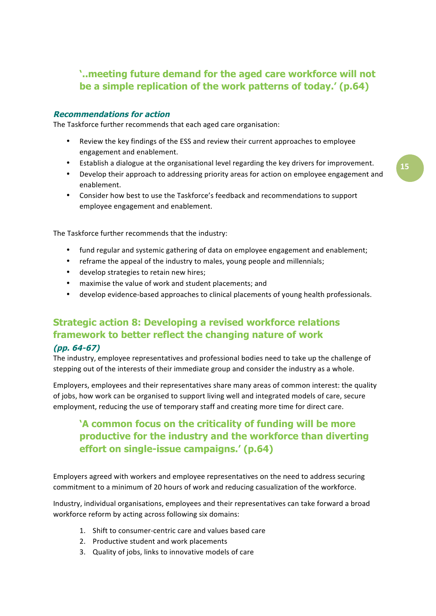# '..meeting future demand for the aged care workforce will not be a simple replication of the work patterns of today.' (p.64)

#### **Recommendations for action**

The Taskforce further recommends that each aged care organisation:

- $\bullet$ Review the key findings of the ESS and review their current approaches to employee engagement and enablement.
- Establish a dialogue at the organisational level regarding the key drivers for improvement.
- Develop their approach to addressing priority areas for action on employee engagement and enablement.
- Consider how best to use the Taskforce's feedback and recommendations to support employee engagement and enablement.

The Taskforce further recommends that the industry:

- fund regular and systemic gathering of data on employee engagement and enablement;  $\bullet$
- reframe the appeal of the industry to males, young people and millennials;
- $\bullet$ develop strategies to retain new hires:
- $\bullet$ maximise the value of work and student placements; and
- develop evidence-based approaches to clinical placements of young health professionals.

### **Strategic action 8: Developing a revised workforce relations** framework to better reflect the changing nature of work

#### $(pp. 64-67)$

The industry, employee representatives and professional bodies need to take up the challenge of stepping out of the interests of their immediate group and consider the industry as a whole.

Employers, employees and their representatives share many areas of common interest: the quality of jobs, how work can be organised to support living well and integrated models of care, secure employment, reducing the use of temporary staff and creating more time for direct care.

# 'A common focus on the criticality of funding will be more productive for the industry and the workforce than diverting effort on single-issue campaigns.' (p.64)

Employers agreed with workers and employee representatives on the need to address securing commitment to a minimum of 20 hours of work and reducing casualization of the workforce.

Industry, individual organisations, employees and their representatives can take forward a broad workforce reform by acting across following six domains:

- 1. Shift to consumer-centric care and values based care
- 2. Productive student and work placements
- 3. Quality of jobs, links to innovative models of care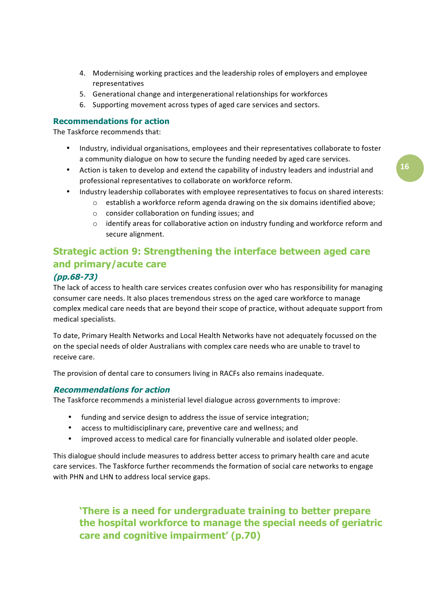- 4. Modernising working practices and the leadership roles of employers and employee representatives
- 5. Generational change and intergenerational relationships for workforces
- 6. Supporting movement across types of aged care services and sectors.

#### **Recommendations for action**

The Taskforce recommends that:

- Industry, individual organisations, employees and their representatives collaborate to foster a community dialogue on how to secure the funding needed by aged care services.
- Action is taken to develop and extend the capability of industry leaders and industrial and  $\bullet$ professional representatives to collaborate on workforce reform.
- Industry leadership collaborates with employee representatives to focus on shared interests:
	- o establish a workforce reform agenda drawing on the six domains identified above;
	- o consider collaboration on funding issues; and
	- $\circ$  identify areas for collaborative action on industry funding and workforce reform and secure alignment.

# Strategic action 9: Strengthening the interface between aged care and primary/acute care

#### $(pp.68-73)$

The lack of access to health care services creates confusion over who has responsibility for managing consumer care needs. It also places tremendous stress on the aged care workforce to manage complex medical care needs that are beyond their scope of practice, without adequate support from medical specialists.

To date, Primary Health Networks and Local Health Networks have not adequately focussed on the on the special needs of older Australians with complex care needs who are unable to travel to receive care.

The provision of dental care to consumers living in RACFs also remains inadequate.

#### **Recommendations for action**

The Taskforce recommends a ministerial level dialogue across governments to improve:

- funding and service design to address the issue of service integration;
- access to multidisciplinary care, preventive care and wellness; and
- improved access to medical care for financially vulnerable and isolated older people.

This dialogue should include measures to address better access to primary health care and acute care services. The Taskforce further recommends the formation of social care networks to engage with PHN and LHN to address local service gaps.

'There is a need for undergraduate training to better prepare the hospital workforce to manage the special needs of geriatric care and cognitive impairment' (p.70)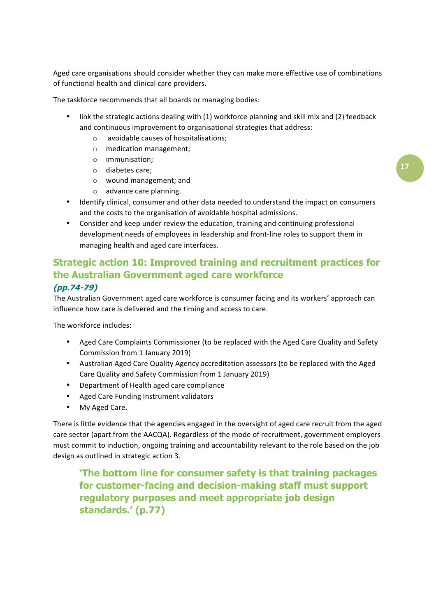Aged care organisations should consider whether they can make more effective use of combinations of functional health and clinical care providers.

The taskforce recommends that all boards or managing bodies:

- $\bullet$ link the strategic actions dealing with (1) workforce planning and skill mix and (2) feedback and continuous improvement to organisational strategies that address:
	- o avoidable causes of hospitalisations;
	- o medication management;
	- $\circ$  immunisation:
	- $\circ$  diabetes care:
	- o wound management; and
	- o advance care planning.
- Identify clinical, consumer and other data needed to understand the impact on consumers and the costs to the organisation of avoidable hospital admissions.
- Consider and keep under review the education, training and continuing professional  $\bullet$ development needs of employees in leadership and front-line roles to support them in managing health and aged care interfaces.

### **Strategic action 10: Improved training and recruitment practices for** the Australian Government aged care workforce

### $(pp.74-79)$

The Australian Government aged care workforce is consumer facing and its workers' approach can influence how care is delivered and the timing and access to care.

The workforce includes:

- Aged Care Complaints Commissioner (to be replaced with the Aged Care Quality and Safety Commission from 1 January 2019)
- Australian Aged Care Quality Agency accreditation assessors (to be replaced with the Aged Care Quality and Safety Commission from 1 January 2019)
- Department of Health aged care compliance
- Aged Care Funding Instrument validators  $\bullet$
- $\bullet$ My Aged Care.

There is little evidence that the agencies engaged in the oversight of aged care recruit from the aged care sector (apart from the AACQA). Regardless of the mode of recruitment, government employers must commit to induction, ongoing training and accountability relevant to the role based on the job design as outlined in strategic action 3.

'The bottom line for consumer safety is that training packages for customer-facing and decision-making staff must support regulatory purposes and meet appropriate job design standards.' (p.77)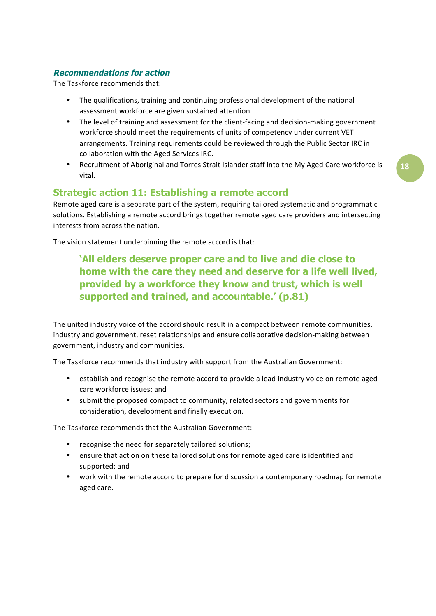### **Recommendations for action**

The Taskforce recommends that:

- The qualifications, training and continuing professional development of the national  $\bullet$ assessment workforce are given sustained attention.
- The level of training and assessment for the client-facing and decision-making government workforce should meet the requirements of units of competency under current VET arrangements. Training requirements could be reviewed through the Public Sector IRC in collaboration with the Aged Services IRC.
- Recruitment of Aboriginal and Torres Strait Islander staff into the My Aged Care workforce is vital

### **Strategic action 11: Establishing a remote accord**

Remote aged care is a separate part of the system, requiring tailored systematic and programmatic solutions. Establishing a remote accord brings together remote aged care providers and intersecting interests from across the nation.

The vision statement underpinning the remote accord is that:

# 'All elders deserve proper care and to live and die close to home with the care they need and deserve for a life well lived, provided by a workforce they know and trust, which is well supported and trained, and accountable.' (p.81)

The united industry voice of the accord should result in a compact between remote communities, industry and government, reset relationships and ensure collaborative decision-making between government, industry and communities.

The Taskforce recommends that industry with support from the Australian Government:

- establish and recognise the remote accord to provide a lead industry voice on remote aged care workforce issues; and
- submit the proposed compact to community, related sectors and governments for consideration, development and finally execution.

The Taskforce recommends that the Australian Government:

- recognise the need for separately tailored solutions;
- $\bullet$ ensure that action on these tailored solutions for remote aged care is identified and supported; and
- work with the remote accord to prepare for discussion a contemporary roadmap for remote aged care.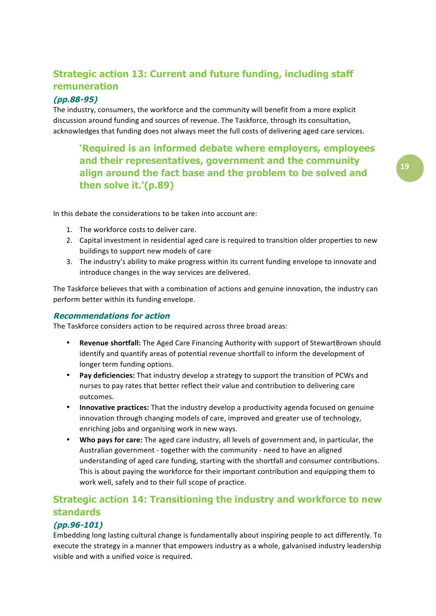# **Strategic action 13: Current and future funding, including staff** remuneration

### $(pp.88-95)$

The industry, consumers, the workforce and the community will benefit from a more explicit discussion around funding and sources of revenue. The Taskforce, through its consultation, acknowledges that funding does not always meet the full costs of delivering aged care services.

'Required is an informed debate where employers, employees and their representatives, government and the community align around the fact base and the problem to be solved and then solve it.'(p.89)

In this debate the considerations to be taken into account are:

- 1. The workforce costs to deliver care.
- 2. Capital investment in residential aged care is required to transition older properties to new buildings to support new models of care
- 3. The industry's ability to make progress within its current funding envelope to innovate and introduce changes in the way services are delivered.

The Taskforce believes that with a combination of actions and genuine innovation, the industry can perform better within its funding envelope.

### **Recommendations for action**

The Taskforce considers action to be required across three broad areas:

- Revenue shortfall: The Aged Care Financing Authority with support of StewartBrown should identify and quantify areas of potential revenue shortfall to inform the development of longer term funding options.
- Pay deficiencies: That industry develop a strategy to support the transition of PCWs and  $\bullet$ nurses to pay rates that better reflect their value and contribution to delivering care outcomes.
- $\bullet$ Innovative practices: That the industry develop a productivity agenda focused on genuine innovation through changing models of care, improved and greater use of technology, enriching jobs and organising work in new ways.
- Who pays for care: The aged care industry, all levels of government and, in particular, the Australian government - together with the community - need to have an aligned understanding of aged care funding, starting with the shortfall and consumer contributions. This is about paying the workforce for their important contribution and equipping them to work well, safely and to their full scope of practice.

# Strategic action 14: Transitioning the industry and workforce to new **standards**

### $(pp.96-101)$

Embedding long lasting cultural change is fundamentally about inspiring people to act differently. To execute the strategy in a manner that empowers industry as a whole, galvanised industry leadership visible and with a unified voice is required.